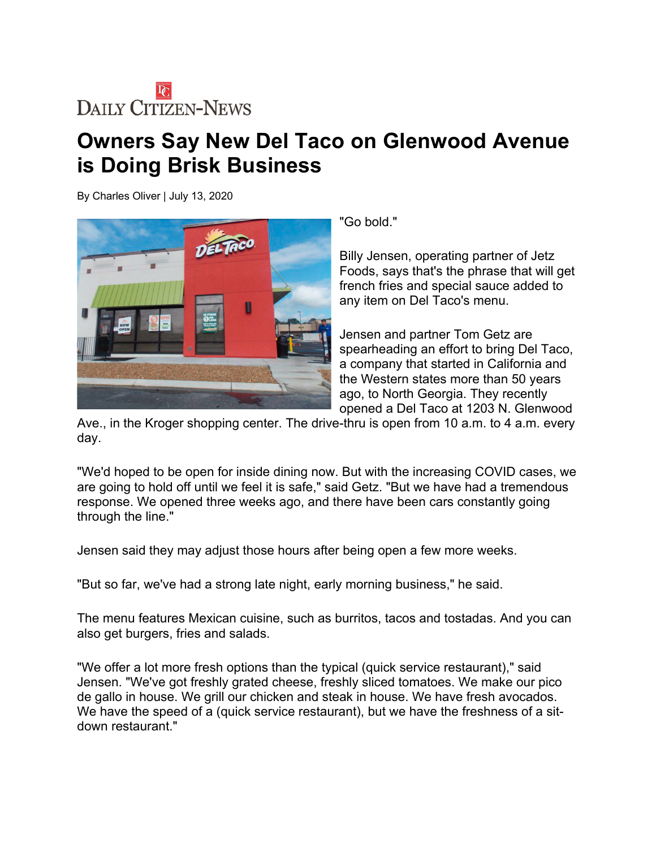## **DAILY CITIZEN-NEWS**

## **Owners Say New Del Taco on Glenwood Avenue is Doing Brisk Business**

By Charles Oliver | July 13, 2020



"Go bold."

Billy Jensen, operating partner of Jetz Foods, says that's the phrase that will get french fries and special sauce added to any item on Del Taco's menu.

Jensen and partner Tom Getz are spearheading an effort to bring Del Taco, a company that started in California and the Western states more than 50 years ago, to North Georgia. They recently opened a Del Taco at 1203 N. Glenwood

Ave., in the Kroger shopping center. The drive-thru is open from 10 a.m. to 4 a.m. every day.

"We'd hoped to be open for inside dining now. But with the increasing COVID cases, we are going to hold off until we feel it is safe," said Getz. "But we have had a tremendous response. We opened three weeks ago, and there have been cars constantly going through the line."

Jensen said they may adjust those hours after being open a few more weeks.

"But so far, we've had a strong late night, early morning business," he said.

The menu features Mexican cuisine, such as burritos, tacos and tostadas. And you can also get burgers, fries and salads.

"We offer a lot more fresh options than the typical (quick service restaurant)," said Jensen. "We've got freshly grated cheese, freshly sliced tomatoes. We make our pico de gallo in house. We grill our chicken and steak in house. We have fresh avocados. We have the speed of a (quick service restaurant), but we have the freshness of a sitdown restaurant."